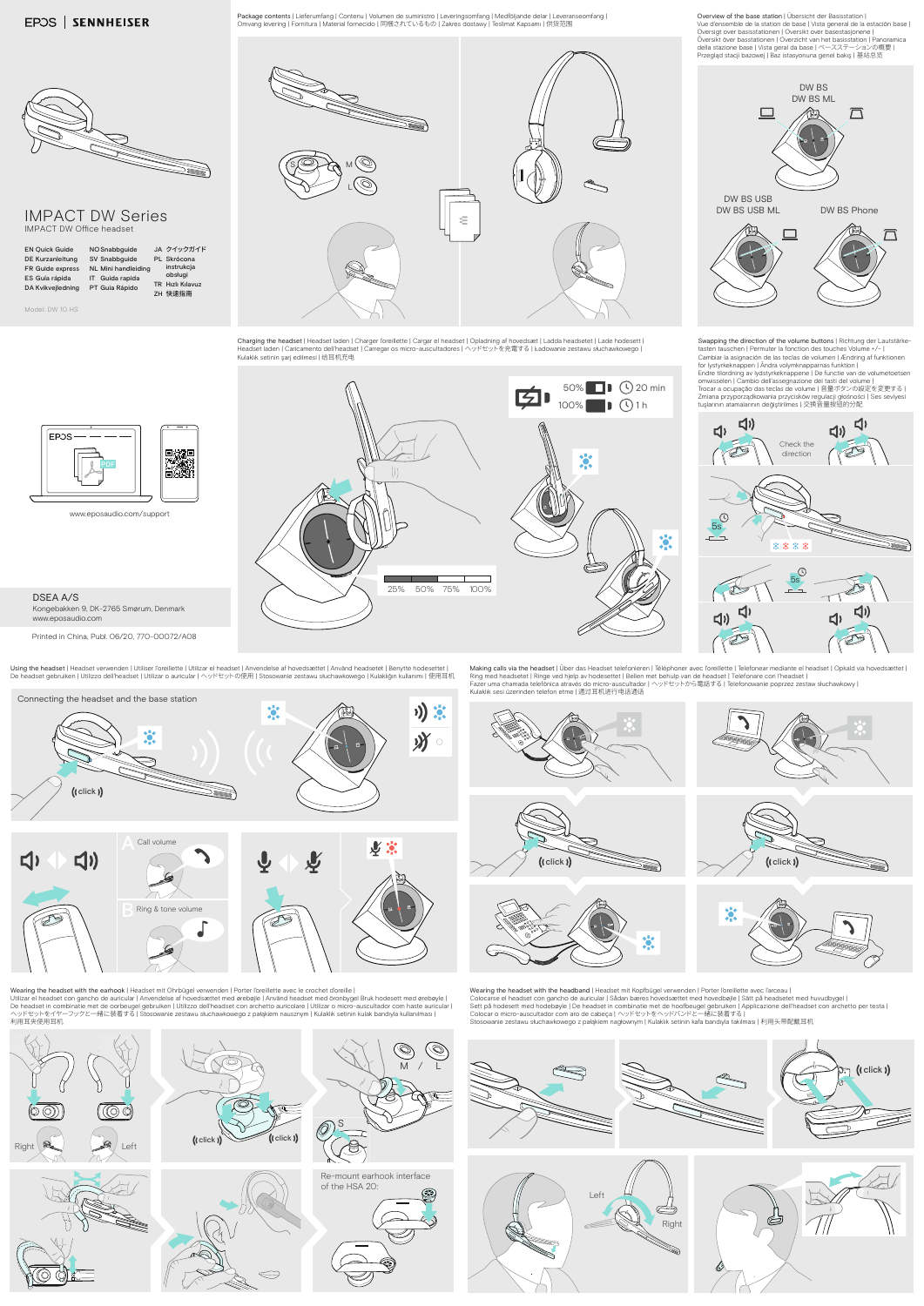P**ackage contents |** Lieferumfang | Contenu | Volumen de suministro | Leveringsomfang | Medföljande delar | Leveranseomfang |<br>Omvang levering | Fornitura | Material fornecido | 同梱されているもの | Zakres dostawy | Teslimat Kapsa

## IMPACT DW Series IMPACT DW Office headset

| <b>EN Quick Guide</b><br>NO Snabbguide<br>SV Snabbguide<br><b>DE Kurzanleitung</b><br>FR Guide express<br><b>NL Mini handleiding</b><br>ES Guía rápida<br>IT Guida rapida<br>DA Kvikvejledning<br>PT Guia Rápido |  | JA クイックガイド<br>PL Skrócona<br>instrukcja<br>obsługi<br><b>TR</b> Hizli Kilavuz<br>ZH 快速指南 |
|------------------------------------------------------------------------------------------------------------------------------------------------------------------------------------------------------------------|--|------------------------------------------------------------------------------------------|
|------------------------------------------------------------------------------------------------------------------------------------------------------------------------------------------------------------------|--|------------------------------------------------------------------------------------------|

Model: DW 10 HS

www.eposaudio.com/support

## DSEA A/S Kongebakken 9, DK-2765 Smørum, Denmark www.eposaudio.com

Printed in China, Publ. 06/20, 770-00072/A08



Overview of the base station | Übersicht der Basisstation | Vue d'ensemble de la station de base | Vista general de la estación base | Oversigt over basisstationen | Oversikt over basestasjonene |<br>Översikt över basstationen | Overzicht van het basisstation | Panoramica<br>della stazione base | Vista geral da base | ベースステーションの概要 |<br>Przegląd stacji bazowej |



C**harging the headset |** Headset laden | Charger l'oreillette | Cargar el headset | Opladning af hovedsæt | Ladda headsetet | Lade hodesett |<br>Headset laden | Caricamento dell'headset | Carregar os micro-auscultadores | ヘ

















Using the headset | Headset verwenden | Utiliser l'oreillette | Utilizar el headset | Anvendelse af hovedsættet | Använd headsetet | Benytte hodesettet |<br>De headset gebruiken | Utilizzo dell'headset | Utilizar o auricula Kulaklık sesi üzerinden telefon etme | 通过耳机进行电话通话

Swapping the direction of the volume buttons | Richtung der Lautstärke-tasten tauschen | Permuter la fonction des touches Volume +/– | Cambiar la asignación de las teclas de volumen | Ændring af funktionen<br>for lystyrkeknappen | Ändra volymknapparnas funktion |<br>Endre tilordning av lydstyrkeknappene | De functie van de volumetoetsen omwisselen | Cambio dell'assegnazione dei tasti del volume |<br>Trocar a ocupação das teclas de volume | 音量ボタンの設定を変更する | Zmiana przyporządkowania przycisków regulacji głośności | Ses seviyesi<br>tuşlarının atamalarının değiştirilmes | 交换音量按钮的分配

Wearing the headset with the headband | Headset mit Kopfbügel verwenden | Porter l'oreillette avec l'arceau | Colocarse el headset con gancho de auricular | Sådan bæres hovedsættet med hovedbøjle | Sätt på headsetet med huvudbygel |<br>Sett på hodesett med hodebøyle | De headset in combinatie met de hoofbeugel gebruiken | Applicazi Stosowanie zestawu słuchawkowego z pałąkiem nagłownym | Kulaklık setinin kafa bandıyla takılması | 利用头带配戴耳机

Making calls via the headset | Über das Headset telefonieren | Téléphoner avec l'oreillette | Telefonear mediante el headset | Opkald via hovedsættet | Ring med headsetet | Ringe ved hjelp av hodesettet | Bellen met behulp van de headset | Telefonare con l'headset |<br>Fazer uma chamada telefónica através do micro-auscultador | ヘッドセットから電話する | Telefonowanie poprzez zestaw s

Wearing the headset with the earhook | Headset mit Ohrbügel verwenden | Porter l'oreillette avec le crochet d'oreille |

Utilizar el headset con gancho de auricular | Anvendelse af hovedsættet med ørebøjle | Använd headset med öronbygel Bruk hodesett med ørebøyle |<br>De headset in combinatie met de oorbeugel gebruiken | Utilizzo dell'headset 利用耳夹使用耳机